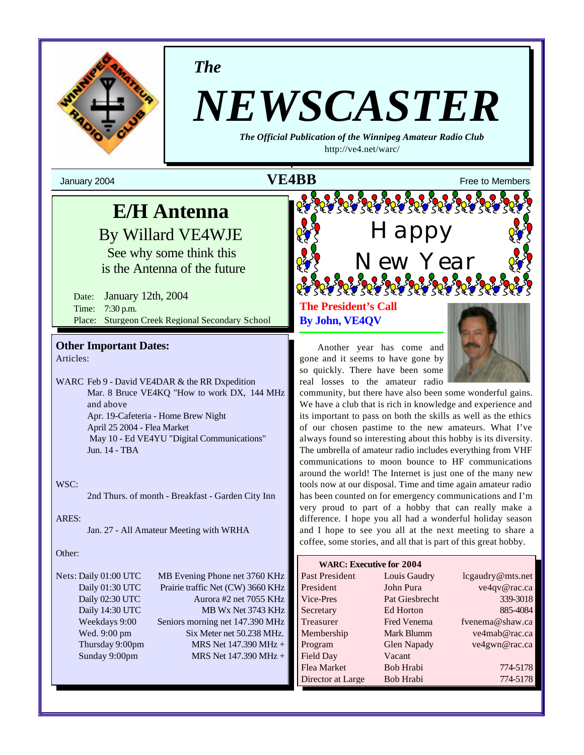

*The*

# *NEWSCASTER*

*The Official Publication of the Winnipeg Amateur Radio Club* http://ve4.net/warc/

January 2004  $\mathbf{VEABB}$  Free to Members

## **E/H Antenna**

By Willard VE4WJE

See why some think this is the Antenna of the future

Date: January 12th, 2004 Time: 7:30 p.m. Place: Sturgeon Creek Regional Secondary School

**Other Important Dates:** Articles:

WARC Feb 9 - David VE4DAR & the RR Dxpedition Mar. 8 Bruce VE4KQ "How to work DX, 144 MHz and above Apr. 19-Cafeteria - Home Brew Night April 25 2004 - Flea Market May 10 - Ed VE4YU "Digital Communications" Jun. 14 - TBA

#### WSC:

2nd Thurs. of month - Breakfast - Garden City Inn

#### ARES:

Jan. 27 - All Amateur Meeting with WRHA

#### Other:

Nets: Daily 01:00 UTC MB Evening Phone net 3760 KHz Daily 01:30 UTC Prairie traffic Net (CW) 3660 KHz Daily 02:30 UTC Aurora #2 net 7055 KHz Daily 14:30 UTC MB Wx Net 3743 KHz Weekdays 9:00 Seniors morning net 147.390 MHz Wed. 9:00 pm Six Meter net 50.238 MHz. Thursday 9:00pm MRS Net  $147.390 \text{ MHz} +$ Sunday 9:00pm MRS Net 147.390 MHz +

**The President's Call By John, VE4QV** 

Another year has come and gone and it seems to have gone by so quickly. There have been some real losses to the amateur radio

community, but there have also been some wonderful gains. We have a club that is rich in knowledge and experience and its important to pass on both the skills as well as the ethics of our chosen pastime to the new amateurs. What I've always found so interesting about this hobby is its diversity. The umbrella of amateur radio includes everything from VHF communications to moon bounce to HF communications around the world! The Internet is just one of the many new tools now at our disposal. Time and time again amateur radio has been counted on for emergency communications and I'm very proud to part of a hobby that can really make a difference. I hope you all had a wonderful holiday season and I hope to see you all at the next meeting to share a coffee, some stories, and all that is part of this great hobby.

Happy

New Year

| <b>WARC: Executive for 2004</b> |                    |                  |
|---------------------------------|--------------------|------------------|
| Past President                  | Louis Gaudry       | lcgaudry@mts.net |
| President                       | John Pura          | ve4qv@rac.ca     |
| Vice-Pres                       | Pat Giesbrecht     | 339-3018         |
| Secretary                       | Ed Horton          | 885-4084         |
| Treasurer                       | <b>Fred Venema</b> | fvenema@shaw.ca  |
| Membership                      | Mark Blumm         | ve4mab@rac.ca    |
| Program                         | <b>Glen Napady</b> | ve4gwn@rac.ca    |
| Field Day                       | Vacant             |                  |
| Flea Market                     | Bob Hrabi          | 774-5178         |
| Director at Large               | Bob Hrabi          | 774-5178         |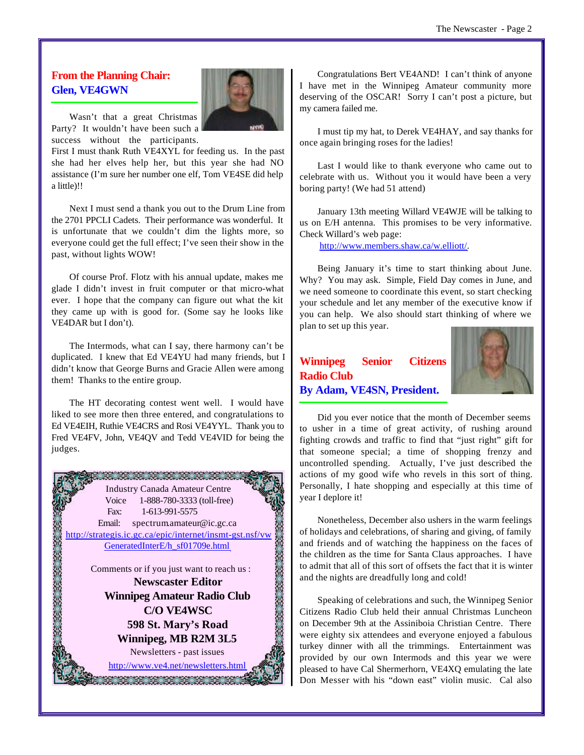#### **From the Planning Chair: Glen, VE4GWN**



Wasn't that a great Christmas Party? It wouldn't have been such a success without the participants.

First I must thank Ruth VE4XYL for feeding us. In the past she had her elves help her, but this year she had NO assistance (I'm sure her number one elf, Tom VE4SE did help a little)!!

Next I must send a thank you out to the Drum Line from the 2701 PPCLI Cadets. Their performance was wonderful. It is unfortunate that we couldn't dim the lights more, so everyone could get the full effect; I've seen their show in the past, without lights WOW!

Of course Prof. Flotz with his annual update, makes me glade I didn't invest in fruit computer or that micro-what ever. I hope that the company can figure out what the kit they came up with is good for. (Some say he looks like VE4DAR but I don't).

The Intermods, what can I say, there harmony can't be duplicated. I knew that Ed VE4YU had many friends, but I didn't know that George Burns and Gracie Allen were among them! Thanks to the entire group.

The HT decorating contest went well. I would have liked to see more then three entered, and congratulations to Ed VE4EIH, Ruthie VE4CRS and Rosi VE4YYL. Thank you to Fred VE4FV, John, VE4QV and Tedd VE4VID for being the judges.



Congratulations Bert VE4AND! I can't think of anyone I have met in the Winnipeg Amateur community more deserving of the OSCAR! Sorry I can't post a picture, but my camera failed me.

I must tip my hat, to Derek VE4HAY, and say thanks for once again bringing roses for the ladies!

Last I would like to thank everyone who came out to celebrate with us. Without you it would have been a very boring party! (We had 51 attend)

January 13th meeting Willard VE4WJE will be talking to us on E/H antenna. This promises to be very informative. Check Willard's web page:

http://www.members.shaw.ca/w.elliott/.

Being January it's time to start thinking about June. Why? You may ask. Simple, Field Day comes in June, and we need someone to coordinate this event, so start checking your schedule and let any member of the executive know if you can help. We also should start thinking of where we plan to set up this year.

### **Winnipeg Senior Citizens Radio Club By Adam, VE4SN, President.**



Did you ever notice that the month of December seems to usher in a time of great activity, of rushing around fighting crowds and traffic to find that "just right" gift for that someone special; a time of shopping frenzy and uncontrolled spending. Actually, I've just described the actions of my good wife who revels in this sort of thing. Personally, I hate shopping and especially at this time of year I deplore it!

Nonetheless, December also ushers in the warm feelings of holidays and celebrations, of sharing and giving, of family and friends and of watching the happiness on the faces of the children as the time for Santa Claus approaches. I have to admit that all of this sort of offsets the fact that it is winter and the nights are dreadfully long and cold!

Speaking of celebrations and such, the Winnipeg Senior Citizens Radio Club held their annual Christmas Luncheon on December 9th at the Assiniboia Christian Centre. There were eighty six attendees and everyone enjoyed a fabulous turkey dinner with all the trimmings. Entertainment was provided by our own Intermods and this year we were pleased to have Cal Shermerhorn, VE4XQ emulating the late Don Messer with his "down east" violin music. Cal also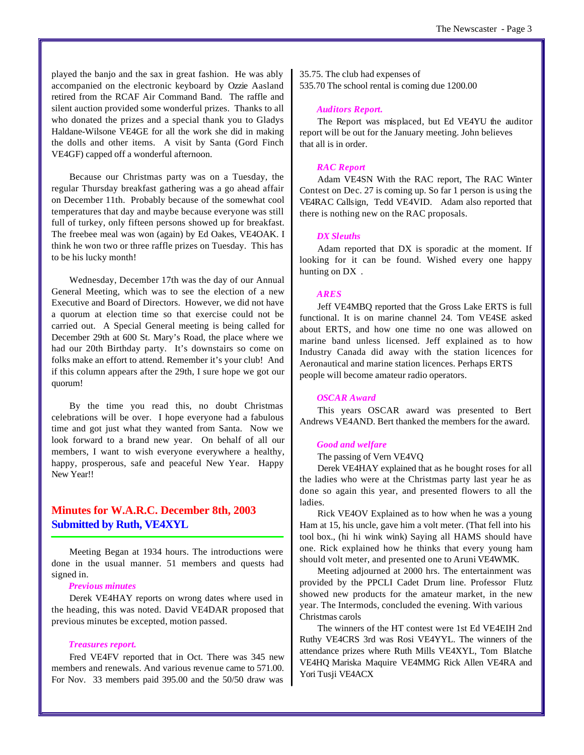played the banjo and the sax in great fashion. He was ably accompanied on the electronic keyboard by Ozzie Aasland retired from the RCAF Air Command Band. The raffle and silent auction provided some wonderful prizes. Thanks to all who donated the prizes and a special thank you to Gladys Haldane-Wilsone VE4GE for all the work she did in making the dolls and other items. A visit by Santa (Gord Finch VE4GF) capped off a wonderful afternoon.

Because our Christmas party was on a Tuesday, the regular Thursday breakfast gathering was a go ahead affair on December 11th. Probably because of the somewhat cool temperatures that day and maybe because everyone was still full of turkey, only fifteen persons showed up for breakfast. The freebee meal was won (again) by Ed Oakes, VE4OAK. I think he won two or three raffle prizes on Tuesday. This has to be his lucky month!

Wednesday, December 17th was the day of our Annual General Meeting, which was to see the election of a new Executive and Board of Directors. However, we did not have a quorum at election time so that exercise could not be carried out. A Special General meeting is being called for December 29th at 600 St. Mary's Road, the place where we had our 20th Birthday party. It's downstairs so come on folks make an effort to attend. Remember it's your club! And if this column appears after the 29th, I sure hope we got our quorum!

By the time you read this, no doubt Christmas celebrations will be over. I hope everyone had a fabulous time and got just what they wanted from Santa. Now we look forward to a brand new year. On behalf of all our members, I want to wish everyone everywhere a healthy, happy, prosperous, safe and peaceful New Year. Happy New Year!!

#### **Minutes for W.A.R.C. December 8th, 2003 Submitted by Ruth, VE4XYL**

Meeting Began at 1934 hours. The introductions were done in the usual manner. 51 members and quests had signed in.

#### *Previous minutes*

Derek VE4HAY reports on wrong dates where used in the heading, this was noted. David VE4DAR proposed that previous minutes be excepted, motion passed.

#### *Treasures report.*

Fred VE4FV reported that in Oct. There was 345 new members and renewals. And various revenue came to 571.00. For Nov. 33 members paid 395.00 and the 50/50 draw was

35.75. The club had expenses of 535.70 The school rental is coming due 1200.00

#### *Auditors Report.*

The Report was misplaced, but Ed VE4YU the auditor report will be out for the January meeting. John believes that all is in order.

#### *RAC Report*

Adam VE4SN With the RAC report, The RAC Winter Contest on Dec. 27 is coming up. So far 1 person is using the VE4RAC Callsign, Tedd VE4VID. Adam also reported that there is nothing new on the RAC proposals.

#### *DX Sleuths*

Adam reported that DX is sporadic at the moment. If looking for it can be found. Wished every one happy hunting on DX .

#### *ARES*

Jeff VE4MBQ reported that the Gross Lake ERTS is full functional. It is on marine channel 24. Tom VE4SE asked about ERTS, and how one time no one was allowed on marine band unless licensed. Jeff explained as to how Industry Canada did away with the station licences for Aeronautical and marine station licences. Perhaps ERTS people will become amateur radio operators.

#### *OSCAR Award*

This years OSCAR award was presented to Bert Andrews VE4AND. Bert thanked the members for the award.

#### *Good and welfare*

The passing of Vern VE4VQ

Derek VE4HAY explained that as he bought roses for all the ladies who were at the Christmas party last year he as done so again this year, and presented flowers to all the ladies.

Rick VE4OV Explained as to how when he was a young Ham at 15, his uncle, gave him a volt meter. (That fell into his tool box., (hi hi wink wink) Saying all HAMS should have one. Rick explained how he thinks that every young ham should volt meter, and presented one to Aruni VE4WMK.

Meeting adjourned at 2000 hrs. The entertainment was provided by the PPCLI Cadet Drum line. Professor Flutz showed new products for the amateur market, in the new year. The Intermods, concluded the evening. With various Christmas carols

The winners of the HT contest were 1st Ed VE4EIH 2nd Ruthy VE4CRS 3rd was Rosi VE4YYL. The winners of the attendance prizes where Ruth Mills VE4XYL, Tom Blatche VE4HQ Mariska Maquire VE4MMG Rick Allen VE4RA and Yori Tusji VE4ACX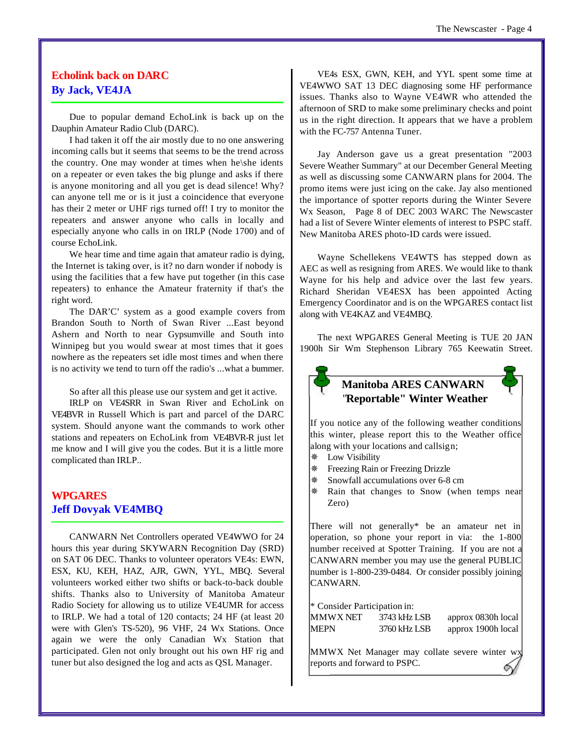#### **Echolink back on DARC By Jack, VE4JA**

Due to popular demand EchoLink is back up on the Dauphin Amateur Radio Club (DARC).

I had taken it off the air mostly due to no one answering incoming calls but it seems that seems to be the trend across the country. One may wonder at times when he\she idents on a repeater or even takes the big plunge and asks if there is anyone monitoring and all you get is dead silence! Why? can anyone tell me or is it just a coincidence that everyone has their 2 meter or UHF rigs turned off! I try to monitor the repeaters and answer anyone who calls in locally and especially anyone who calls in on IRLP (Node 1700) and of course EchoLink.

We hear time and time again that amateur radio is dying, the Internet is taking over, is it? no darn wonder if nobody is using the facilities that a few have put together (in this case repeaters) to enhance the Amateur fraternity if that's the right word.

The DAR'C' system as a good example covers from Brandon South to North of Swan River ...East beyond Ashern and North to near Gypsumville and South into Winnipeg but you would swear at most times that it goes nowhere as the repeaters set idle most times and when there is no activity we tend to turn off the radio's ...what a bummer.

So after all this please use our system and get it active.

IRLP on VE4SRR in Swan River and EchoLink on VE4BVR in Russell Which is part and parcel of the DARC system. Should anyone want the commands to work other stations and repeaters on EchoLink from VE4BVR-R just let me know and I will give you the codes. But it is a little more complicated than IRLP..

#### **WPGARES Jeff Dovyak VE4MBQ**

CANWARN Net Controllers operated VE4WWO for 24 hours this year during SKYWARN Recognition Day (SRD) on SAT 06 DEC. Thanks to volunteer operators VE4s: EWN, ESX, KU, KEH, HAZ, AJR, GWN, YYL, MBQ. Several volunteers worked either two shifts or back-to-back double shifts. Thanks also to University of Manitoba Amateur Radio Society for allowing us to utilize VE4UMR for access to IRLP. We had a total of 120 contacts; 24 HF (at least 20 were with Glen's TS-520), 96 VHF, 24 Wx Stations. Once again we were the only Canadian Wx Station that participated. Glen not only brought out his own HF rig and tuner but also designed the log and acts as QSL Manager.

VE4s ESX, GWN, KEH, and YYL spent some time at VE4WWO SAT 13 DEC diagnosing some HF performance issues. Thanks also to Wayne VE4WR who attended the afternoon of SRD to make some preliminary checks and point us in the right direction. It appears that we have a problem with the FC-757 Antenna Tuner.

Jay Anderson gave us a great presentation "2003 Severe Weather Summary" at our December General Meeting as well as discussing some CANWARN plans for 2004. The promo items were just icing on the cake. Jay also mentioned the importance of spotter reports during the Winter Severe Wx Season, Page 8 of DEC 2003 WARC The Newscaster had a list of Severe Winter elements of interest to PSPC staff. New Manitoba ARES photo-ID cards were issued.

Wayne Schellekens VE4WTS has stepped down as AEC as well as resigning from ARES. We would like to thank Wayne for his help and advice over the last few years. Richard Sheridan VE4ESX has been appointed Acting Emergency Coordinator and is on the WPGARES contact list along with VE4KAZ and VE4MBQ.

The next WPGARES General Meeting is TUE 20 JAN 1900h Sir Wm Stephenson Library 765 Keewatin Street.



**Manitoba ARES CANWARN**  "**Reportable" Winter Weather**

If you notice any of the following weather conditions this winter, please report this to the Weather office along with your locations and callsign;

- Ø Low Visibility
- Ø Freezing Rain or Freezing Drizzle
- Snowfall accumulations over 6-8 cm
- Ø Rain that changes to Snow (when temps near Zero)

There will not generally\* be an amateur net in operation, so phone your report in via: the 1-800 number received at Spotter Training. If you are not a CANWARN member you may use the general PUBLIC number is 1-800-239-0484. Or consider possibly joining CANWARN.

| * Consider Participation in: |              |                    |
|------------------------------|--------------|--------------------|
| MMWX NET                     | 3743 kHz LSB | approx 0830h local |
| <b>MEPN</b>                  | 3760 kHz LSB | approx 1900h local |

MMWX Net Manager may collate severe winter wx reports and forward to PSPC.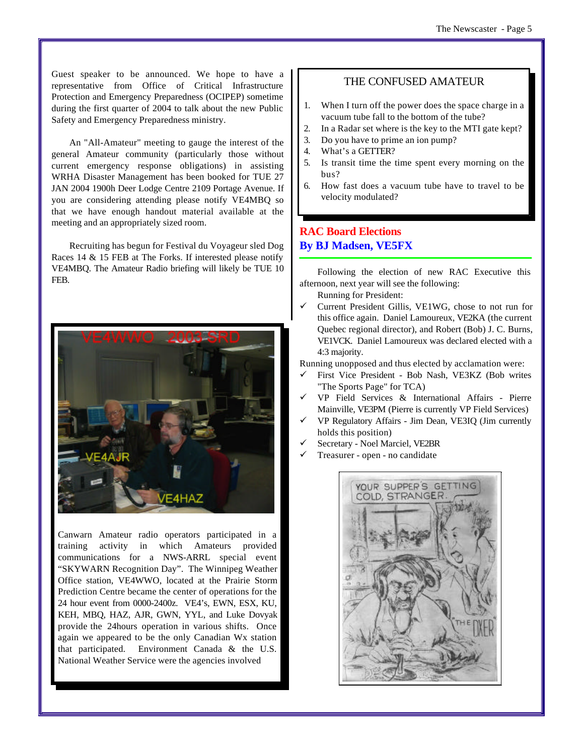Guest speaker to be announced. We hope to have a representative from Office of Critical Infrastructure Protection and Emergency Preparedness (OCIPEP) sometime during the first quarter of 2004 to talk about the new Public Safety and Emergency Preparedness ministry.

An "All-Amateur" meeting to gauge the interest of the general Amateur community (particularly those without current emergency response obligations) in assisting WRHA Disaster Management has been booked for TUE 27 JAN 2004 1900h Deer Lodge Centre 2109 Portage Avenue. If you are considering attending please notify VE4MBQ so that we have enough handout material available at the meeting and an appropriately sized room.

Recruiting has begun for Festival du Voyageur sled Dog Races 14 & 15 FEB at The Forks. If interested please notify VE4MBQ. The Amateur Radio briefing will likely be TUE 10 FEB.



Canwarn Amateur radio operators participated in a training activity in which Amateurs provided communications for a NWS-ARRL special event "SKYWARN Recognition Day". The Winnipeg Weather Office station, VE4WWO, located at the Prairie Storm Prediction Centre became the center of operations for the 24 hour event from 0000-2400z. VE4's, EWN, ESX, KU, KEH, MBQ, HAZ, AJR, GWN, YYL, and Luke Dovyak provide the 24hours operation in various shifts. Once again we appeared to be the only Canadian Wx station that participated. Environment Canada & the U.S. National Weather Service were the agencies involved

#### THE CONFUSED AMATEUR

- 1. When I turn off the power does the space charge in a vacuum tube fall to the bottom of the tube?
- 2. In a Radar set where is the key to the MTI gate kept?
- 3. Do you have to prime an ion pump?
- 4. What's a GETTER?
- 5. Is transit time the time spent every morning on the bus?
- 6. How fast does a vacuum tube have to travel to be velocity modulated?

### **RAC Board Elections By BJ Madsen, VE5FX**

Following the election of new RAC Executive this afternoon, next year will see the following:

- Running for President:
- ¸ Current President Gillis, VE1WG, chose to not run for this office again. Daniel Lamoureux, VE2KA (the current Quebec regional director), and Robert (Bob) J. C. Burns, VE1VCK. Daniel Lamoureux was declared elected with a 4:3 majority.

Running unopposed and thus elected by acclamation were:

- ¸ First Vice President Bob Nash, VE3KZ (Bob writes "The Sports Page" for TCA)
- $\checkmark$  VP Field Services & International Affairs Pierre Mainville, VE3PM (Pierre is currently VP Field Services)
- ¸ VP Regulatory Affairs Jim Dean, VE3IQ (Jim currently holds this position)
- Secretary Noel Marciel, VE2BR
- ¸ Treasurer open no candidate

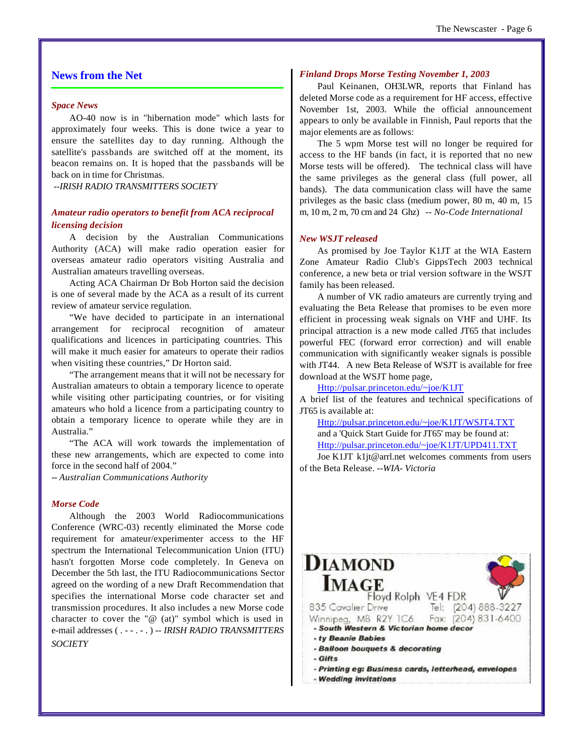#### **News from the Net**

#### *Space News*

AO-40 now is in "hibernation mode" which lasts for approximately four weeks. This is done twice a year to ensure the satellites day to day running. Although the satellite's passbands are switched off at the moment, its beacon remains on. It is hoped that the passbands will be back on in time for Christmas.

*--IRISH RADIO TRANSMITTERS SOCIETY*

#### *Amateur radio operators to benefit from ACA reciprocal licensing decision*

A decision by the Australian Communications Authority (ACA) will make radio operation easier for overseas amateur radio operators visiting Australia and Australian amateurs travelling overseas.

Acting ACA Chairman Dr Bob Horton said the decision is one of several made by the ACA as a result of its current review of amateur service regulation.

"We have decided to participate in an international arrangement for reciprocal recognition of amateur qualifications and licences in participating countries. This will make it much easier for amateurs to operate their radios when visiting these countries," Dr Horton said.

"The arrangement means that it will not be necessary for Australian amateurs to obtain a temporary licence to operate while visiting other participating countries, or for visiting amateurs who hold a licence from a participating country to obtain a temporary licence to operate while they are in Australia."

"The ACA will work towards the implementation of these new arrangements, which are expected to come into force in the second half of 2004."

-- *Australian Communications Authority* 

#### *Morse Code*

Although the 2003 World Radiocommunications Conference (WRC-03) recently eliminated the Morse code requirement for amateur/experimenter access to the HF spectrum the International Telecommunication Union (ITU) hasn't forgotten Morse code completely. In Geneva on December the 5th last, the ITU Radiocommunications Sector agreed on the wording of a new Draft Recommendation that specifies the international Morse code character set and transmission procedures. It also includes a new Morse code character to cover the "@ (at)" symbol which is used in e-mail addresses ( . - - . - . ) -- *IRISH RADIO TRANSMITTERS SOCIETY*

#### *Finland Drops Morse Testing November 1, 2003*

Paul Keinanen, OH3LWR, reports that Finland has deleted Morse code as a requirement for HF access, effective November 1st, 2003. While the official announcement appears to only be available in Finnish, Paul reports that the major elements are as follows:

The 5 wpm Morse test will no longer be required for access to the HF bands (in fact, it is reported that no new Morse tests will be offered). The technical class will have the same privileges as the general class (full power, all bands). The data communication class will have the same privileges as the basic class (medium power, 80 m, 40 m, 15 m, 10 m, 2 m, 70 cm and 24 Ghz) *-- No-Code International*

#### *New WSJT released*

As promised by Joe Taylor K1JT at the WIA Eastern Zone Amateur Radio Club's GippsTech 2003 technical conference, a new beta or trial version software in the WSJT family has been released.

A number of VK radio amateurs are currently trying and evaluating the Beta Release that promises to be even more efficient in processing weak signals on VHF and UHF. Its principal attraction is a new mode called JT65 that includes powerful FEC (forward error correction) and will enable communication with significantly weaker signals is possible with JT44. A new Beta Release of WSJT is available for free download at the WSJT home page,

Http://pulsar.princeton.edu/~joe/K1JT

A brief list of the features and technical specifications of JT65 is available at:

Http://pulsar.princeton.edu/~joe/K1JT/WSJT4.TXT and a 'Quick Start Guide for JT65' may be found at: Http://pulsar.princeton.edu/~joe/K1JT/UPD411.TXT

Joe K1JT k1jt@arrl.net welcomes comments from users of the Beta Release. *--WIA- Victoria*

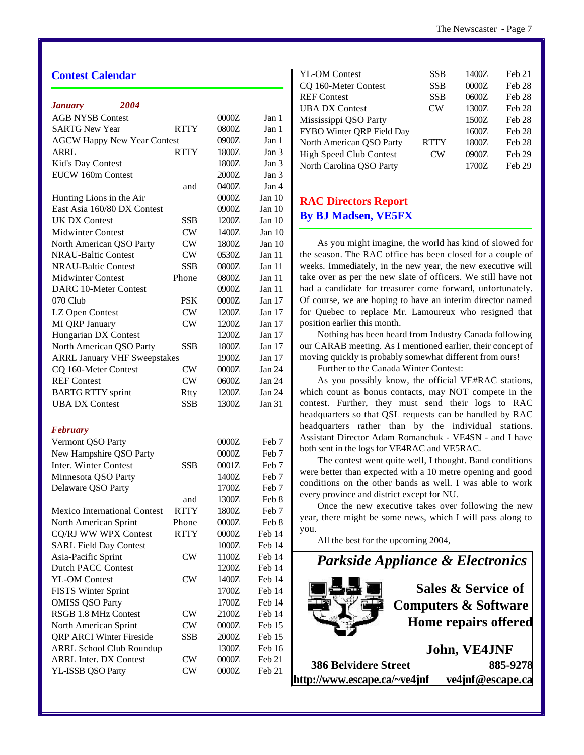#### **Contest Calendar**

| 2004<br><b>January</b>               |             |       |          |
|--------------------------------------|-------------|-------|----------|
| <b>AGB NYSB Contest</b>              |             | 0000Z | Jan 1    |
| <b>SARTG New Year</b><br><b>RTTY</b> |             | 0800Z | Jan 1    |
| <b>AGCW Happy New Year Contest</b>   |             | 0900Z | Jan 1    |
| ARRL                                 | <b>RTTY</b> | 1800Z | Jan 3    |
| Kid's Day Contest                    |             | 1800Z | Jan 3    |
| EUCW 160m Contest                    |             | 2000Z | Jan 3    |
|                                      | and         | 0400Z | Jan 4    |
| Hunting Lions in the Air             |             | 0000Z | Jan $10$ |
| East Asia 160/80 DX Contest          |             | 0900Z | Jan $10$ |
| <b>UK DX Contest</b>                 | SSB         | 1200Z | Jan $10$ |
| <b>Midwinter Contest</b>             | <b>CW</b>   | 1400Z | Jan $10$ |
| North American QSO Party             | <b>CW</b>   | 1800Z | Jan $10$ |
| <b>NRAU-Baltic Contest</b>           | <b>CW</b>   | 0530Z | Jan 11   |
| <b>NRAU-Baltic Contest</b>           | <b>SSB</b>  | 0800Z | Jan 11   |
| <b>Midwinter Contest</b>             | Phone       | 0800Z | Jan 11   |
| <b>DARC 10-Meter Contest</b>         |             | 0900Z | Jan 11   |
| 070 Club                             | PSK         | 0000Z | Jan 17   |
| LZ Open Contest                      | <b>CW</b>   | 1200Z | Jan 17   |
| MI QRP January                       | CW          | 1200Z | Jan 17   |
| Hungarian DX Contest                 |             | 1200Z | Jan 17   |
| North American QSO Party             | SSB         | 1800Z | Jan 17   |
| <b>ARRL January VHF Sweepstakes</b>  |             | 1900Z | Jan 17   |
| CQ 160-Meter Contest                 | <b>CW</b>   | 0000Z | Jan 24   |
| <b>REF</b> Contest                   | CW          | 0600Z | Jan 24   |
| <b>BARTG RTTY</b> sprint             | Rtty        | 1200Z | Jan 24   |
| <b>UBA DX Contest</b>                | <b>SSB</b>  | 1300Z | Jan 31   |
| <b>February</b>                      |             |       |          |
| Vermont QSO Party                    |             | 0000Z | Feb 7    |
| New Hampshire QSO Party              |             | 0000Z | Feb 7    |
| Inter. Winter Contest                | SSB         | 0001Z | Feb 7    |
| Minnesota QSO Party                  |             | 1400Z | Feb 7    |
| Delaware QSO Party                   |             | 1700Z | Feb 7    |
|                                      | and         | 1300Z | Feb 8    |
| <b>Mexico International Contest</b>  | <b>RTTY</b> | 1800Z | Feb 7    |
| North American Sprint                | Phone       | 0000Z | Feb 8    |
| CQ/RJ WW WPX Contest                 | <b>RTTY</b> | 0000Z | Feb 14   |
| <b>SARL Field Day Contest</b>        |             | 1000Z | Feb 14   |
| Asia-Pacific Sprint                  | <b>CW</b>   | 1100Z | Feb 14   |
| Dutch PACC Contest                   |             | 1200Z | Feb 14   |
| <b>YL-OM Contest</b>                 | <b>CW</b>   | 1400Z | Feb 14   |
| <b>FISTS Winter Sprint</b>           |             | 1700Z | Feb 14   |
| <b>OMISS QSO Party</b>               |             | 1700Z | Feb 14   |
| RSGB 1.8 MHz Contest                 | CW          | 2100Z | Feb 14   |
| North American Sprint                | <b>CW</b>   | 0000Z | Feb 15   |
| <b>QRP ARCI Winter Fireside</b>      | SSB         | 2000Z | Feb 15   |
| <b>ARRL School Club Roundup</b>      |             | 1300Z | Feb 16   |
| <b>ARRL Inter. DX Contest</b>        | <b>CW</b>   | 0000Z | Feb 21   |
| YL-ISSB QSO Party                    | <b>CW</b>   | 0000Z | Feb 21   |
|                                      |             |       |          |

| <b>YL-OM Contest</b><br>CQ 160-Meter Contest | SSB<br><b>SSB</b> | 1400Z<br>0000Z | Feb <sub>21</sub><br>Feb <sub>28</sub> |
|----------------------------------------------|-------------------|----------------|----------------------------------------|
| <b>REF Contest</b>                           | <b>SSB</b>        | 0600Z          | Feb <sub>28</sub>                      |
| <b>UBA DX Contest</b>                        | $\mathcal{C}W$    | 1300Z          | Feb <sub>28</sub>                      |
| Mississippi QSO Party                        |                   | 1500Z          | Feb <sub>28</sub>                      |
| FYBO Winter QRP Field Day                    |                   | 1600Z          | Feb <sub>28</sub>                      |
| North American QSO Party                     | <b>RTTY</b>       | 1800Z          | <b>Feb 28</b>                          |
| <b>High Speed Club Contest</b>               | CW <sub></sub>    | 0900Z          | Feb <sub>29</sub>                      |
| North Carolina QSO Party                     |                   | 1700Z          | Feb 29                                 |
|                                              |                   |                |                                        |

#### **RAC Directors Report By BJ Madsen, VE5FX**

As you might imagine, the world has kind of slowed for the season. The RAC office has been closed for a couple of weeks. Immediately, in the new year, the new executive will take over as per the new slate of officers. We still have not had a candidate for treasurer come forward, unfortunately. Of course, we are hoping to have an interim director named for Quebec to replace Mr. Lamoureux who resigned that position earlier this month.

Nothing has been heard from Industry Canada following our CARAB meeting. As I mentioned earlier, their concept of moving quickly is probably somewhat different from ours!

Further to the Canada Winter Contest:

As you possibly know, the official VE#RAC stations, which count as bonus contacts, may NOT compete in the contest. Further, they must send their logs to RAC headquarters so that QSL requests can be handled by RAC headquarters rather than by the individual stations. Assistant Director Adam Romanchuk - VE4SN - and I have both sent in the logs for VE4RAC and VE5RAC.

The contest went quite well, I thought. Band conditions were better than expected with a 10 metre opening and good conditions on the other bands as well. I was able to work every province and district except for NU.

Once the new executive takes over following the new year, there might be some news, which I will pass along to you.

All the best for the upcoming 2004,



**386 Belvidere Street 885-9278 http://www.escape.ca/~ve4jnf ve4jnf@escape.ca**